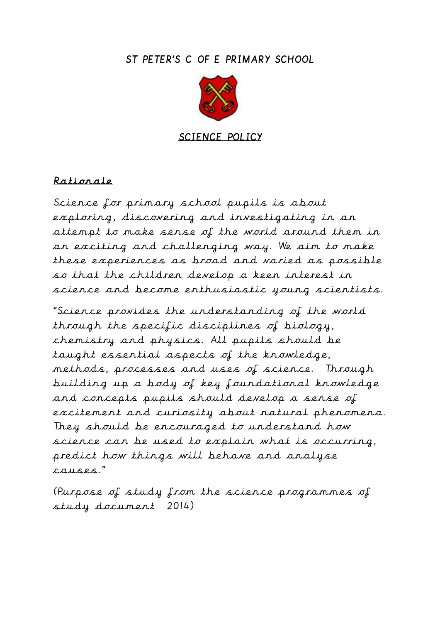#### ST PETER'S C OF E PRIMARY SCHOOL



SCIENCE POLICY

#### Rationale

Science for primary school pupils is about exploring, discovering and investigating in an attempt to make sense of the world around them in an exciting and challenging way. We aim to make these experiences as broad and varied as possible so that the children develop a keen interest in science and become enthusiastic young scientists.

"Science provides the understanding of the world through the specific disciplines of biology, chemistry and physics. All pupils should be taught essential aspects of the knowledge, methods, processes and uses of science. Through building up a body of key foundational knowledge and concepts pupils should develop a sense of excitement and curiosity about natural phenomena. They should be encouraged to understand how science can be used to explain what is occurring, predict how things will behave and analyse causes."

(Purpose of study from the science programmes of study document 2014)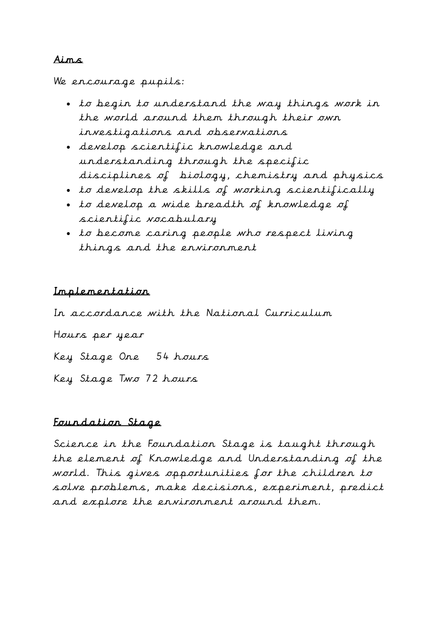#### Aims

#### We encourage pupils:

- to begin to understand the way things work in the world around them through their own investigations and observations
- develop scientific knowledge and understanding through the specific disciplines of biology, chemistry and physics
- to develop the skills of working scientifically
- to develop a wide breadth of knowledge of scientific vocabulary
- to become caring people who respect living things and the environment

#### Implementation

In accordance with the National Curriculum Hours per year Key Stage One 54 hours Key Stage Two 72 hours

#### Foundation Stage

Science in the Foundation Stage is taught through the element of Knowledge and Understanding of the world. This gives opportunities for the children to solve problems, make decisions, experiment, predict and explore the environment around them.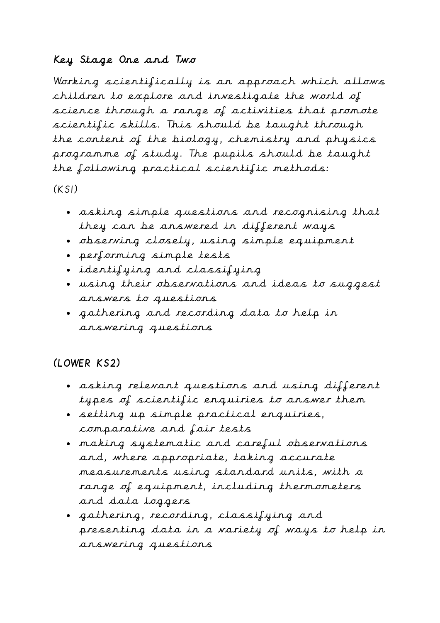# Key Stage One and Two

Working scientifically is an approach which allows children to explore and investigate the world of science through a range of activities that promote scientific skills. This should be taught through the content of the biology, chemistry and physics programme of study. The pupils should be taught the following practical scientific methods:

 $(KSI)$ 

- asking simple questions and recognising that they can be answered in different ways
- observing closely, using simple equipment
- performing simple tests
- identifying and classifying
- using their observations and ideas to suggest answers to questions
- gathering and recording data to help in answering questions

# (LOWER KS2)

- asking relevant questions and using different types of scientific enquiries to answer them
- setting up simple practical enquiries, comparative and fair tests
- making systematic and careful observations and, where appropriate, taking accurate measurements using standard units, with a range of equipment, including thermometers and data loggers
- gathering, recording, classifying and presenting data in a variety of ways to help in answering questions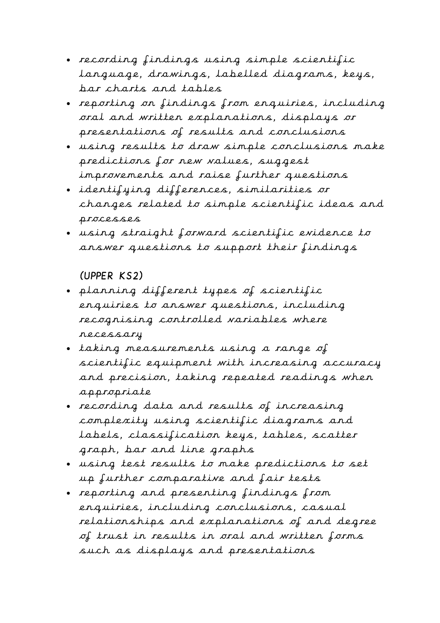- recording findings using simple scientific language, drawings, labelled diagrams, keys, bar charts and tables
- reporting on findings from enquiries, including oral and written explanations, displays or presentations of results and conclusions
- using results to draw simple conclusions make predictions for new values, suggest improvements and raise further questions
- identifying differences, similarities or changes related to simple scientific ideas and processes
- using straight forward scientific evidence to answer questions to support their findings

# (UPPER KS2)

- planning different types of scientific enquiries to answer questions, including recognising controlled variables where necessary
- taking measurements using a range of scientific equipment with increasing accuracy and precision, taking repeated readings when appropriate
- recording data and results of increasing complexity using scientific diagrams and labels, classification keys, tables, scatter graph, bar and line graphs
- using test results to make predictions to set up further comparative and fair tests
- reporting and presenting findings from enquiries, including conclusions, casual relationships and explanations of and degree of trust in results in oral and written forms such as displays and presentations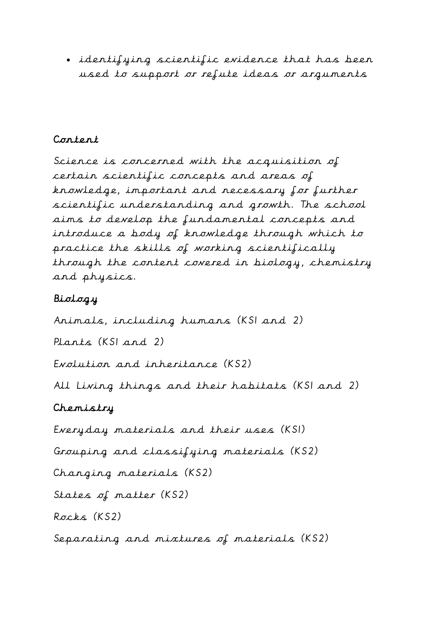identifying scientific evidence that has been used to support or refute ideas or arguments

## Content

Science is concerned with the acquisition of certain scientific concepts and areas of knowledge, important and necessary for further scientific understanding and growth. The school aims to develop the fundamental concepts and introduce a body of knowledge through which to practice the skills of working scientifically through the content covered in biology, chemistry and physics.

# Biology

Animals, including humans (KS1 and 2)

Plants (KS1 and 2)

Evolution and inheritance (KS2)

All Living things and their habitats (KS1 and 2)

# Chemistry

Everyday materials and their uses (KS1)

Grouping and classifying materials (KS2)

Changing materials (KS2)

States of matter (KS2)

Rocks (KS2)

Separating and mixtures of materials (KS2)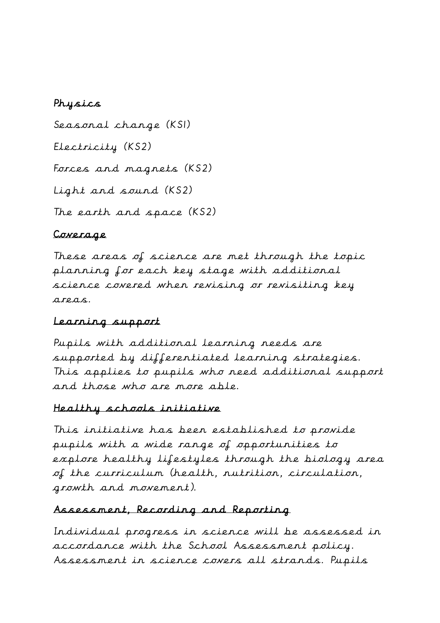## Physics

Seasonal change (KS1) Electricity (KS2) Forces and magnets (KS2) Light and sound (KS2) The earth and space (KS2)

# Coverage

These areas of science are met through the topic planning for each key stage with additional science covered when revising or revisiting key areas.

# Learning support

Pupils with additional learning needs are supported by differentiated learning strategies. This applies to pupils who need additional support and those who are more able.

### Healthy schools initiative

This initiative has been established to provide pupils with a wide range of opportunities to explore healthy lifestyles through the biology area of the curriculum (health, nutrition, circulation, growth and movement).

# Assessment, Recording and Reporting

Individual progress in science will be assessed in accordance with the School Assessment policy. Assessment in science covers all strands. Pupils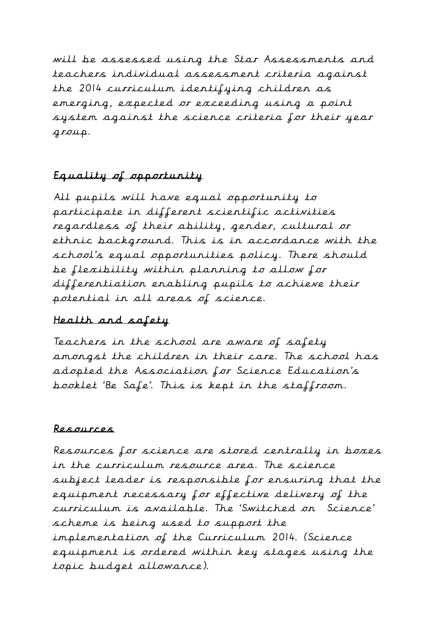will be assessed using the Star Assessments and teachers individual assessment criteria against the 2014 curriculum identifying children as emerging, expected or exceeding using a point system against the science criteria for their year group.

# Equality of opportunity

All pupils will have equal opportunity to participate in different scientific activities regardless of their ability, gender, cultural or ethnic background. This is in accordance with the school's equal opportunities policy. There should be flexibility within planning to allow for differentiation enabling pupils to achieve their potential in all areas of science.

### Health and safety

Teachers in the school are aware of safety amongst the children in their care. The school has adopted the Association for Science Education's booklet 'Be Safe'. This is kept in the staffroom.

### Resources

Resources for science are stored centrally in boxes in the curriculum resource area. The science subject leader is responsible for ensuring that the equipment necessary for effective delivery of the curriculum is available. The 'Switched on Science' scheme is being used to support the implementation of the Curriculum 2014. (Science equipment is ordered within key stages using the topic budget allowance).